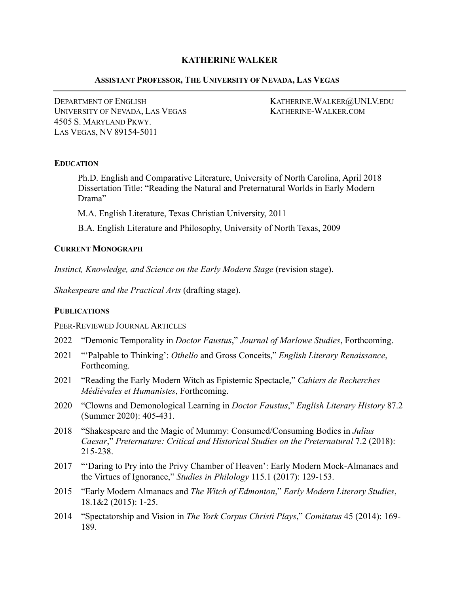# **KATHERINE WALKER**

## **ASSISTANT PROFESSOR, THE UNIVERSITY OF NEVADA, LAS VEGAS**

DEPARTMENT OF ENGLISH KATHERINE.WALKER@UNLV.EDU UNIVERSITY OF NEVADA, LAS VEGAS KATHERINE-WALKER.COM 4505 S. MARYLAND PKWY. LAS VEGAS, NV 89154-5011

### **EDUCATION**

Ph.D. English and Comparative Literature, University of North Carolina, April 2018 Dissertation Title: "Reading the Natural and Preternatural Worlds in Early Modern Drama"

M.A. English Literature, Texas Christian University, 2011

B.A. English Literature and Philosophy, University of North Texas, 2009

## **CURRENT MONOGRAPH**

*Instinct, Knowledge, and Science on the Early Modern Stage (revision stage).* 

*Shakespeare and the Practical Arts* (drafting stage).

# **PUBLICATIONS**

PEER-REVIEWED JOURNAL ARTICLES

- 2022 "Demonic Temporality in *Doctor Faustus*," *Journal of Marlowe Studies*, Forthcoming.
- 2021 "'Palpable to Thinking': *Othello* and Gross Conceits," *English Literary Renaissance*, Forthcoming.
- 2021 "Reading the Early Modern Witch as Epistemic Spectacle," *Cahiers de Recherches Médiévales et Humanistes*, Forthcoming.
- 2020 "Clowns and Demonological Learning in *Doctor Faustus*," *English Literary History* 87.2 (Summer 2020): 405-431.
- 2018 "Shakespeare and the Magic of Mummy: Consumed/Consuming Bodies in *Julius Caesar*," *Preternature: Critical and Historical Studies on the Preternatural* 7.2 (2018): 215-238.
- 2017 "'Daring to Pry into the Privy Chamber of Heaven': Early Modern Mock-Almanacs and the Virtues of Ignorance," *Studies in Philology* 115.1 (2017): 129-153.
- 2015 "Early Modern Almanacs and *The Witch of Edmonton*," *Early Modern Literary Studies*, 18.1&2 (2015): 1-25.
- 2014 "Spectatorship and Vision in *The York Corpus Christi Plays*," *Comitatus* 45 (2014): 169- 189.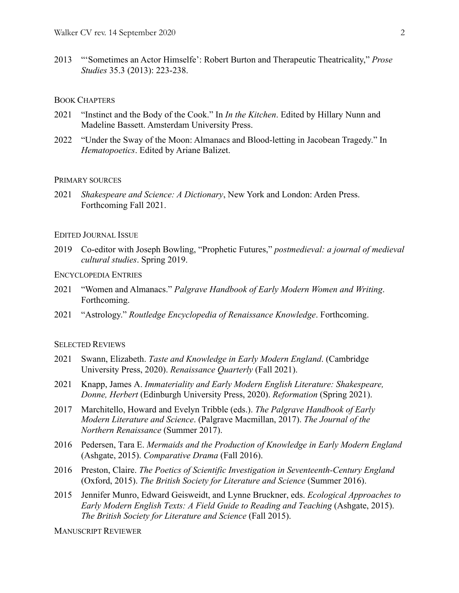2013 "'Sometimes an Actor Himselfe': Robert Burton and Therapeutic Theatricality," *Prose Studies* 35.3 (2013): 223-238.

## BOOK CHAPTERS

- 2021 "Instinct and the Body of the Cook." In *In the Kitchen*. Edited by Hillary Nunn and Madeline Bassett. Amsterdam University Press.
- 2022 "Under the Sway of the Moon: Almanacs and Blood-letting in Jacobean Tragedy." In *Hematopoetics*. Edited by Ariane Balizet.

#### PRIMARY SOURCES

2021 *Shakespeare and Science: A Dictionary*, New York and London: Arden Press. Forthcoming Fall 2021.

### EDITED JOURNAL ISSUE

2019 Co-editor with Joseph Bowling, "Prophetic Futures," *postmedieval: a journal of medieval cultural studies*. Spring 2019.

### ENCYCLOPEDIA ENTRIES

- 2021 "Women and Almanacs." *Palgrave Handbook of Early Modern Women and Writing*. Forthcoming.
- 2021 "Astrology." *Routledge Encyclopedia of Renaissance Knowledge*. Forthcoming.

#### SELECTED REVIEWS

- 2021 Swann, Elizabeth. *Taste and Knowledge in Early Modern England*. (Cambridge University Press, 2020). *Renaissance Quarterly* (Fall 2021).
- 2021 Knapp, James A. *Immateriality and Early Modern English Literature: Shakespeare, Donne, Herbert* (Edinburgh University Press, 2020). *Reformation* (Spring 2021).
- 2017 Marchitello, Howard and Evelyn Tribble (eds.). *The Palgrave Handbook of Early Modern Literature and Science*. (Palgrave Macmillan, 2017). *The Journal of the Northern Renaissance* (Summer 2017).
- 2016 Pedersen, Tara E. *Mermaids and the Production of Knowledge in Early Modern England*  (Ashgate, 2015). *Comparative Drama* (Fall 2016).
- 2016 Preston, Claire. *The Poetics of Scientific Investigation in Seventeenth-Century England*  (Oxford, 2015). *The British Society for Literature and Science* (Summer 2016).
- 2015 Jennifer Munro, Edward Geisweidt, and Lynne Bruckner, eds. *Ecological Approaches to Early Modern English Texts: A Field Guide to Reading and Teaching (Ashgate, 2015). The British Society for Literature and Science* (Fall 2015).

MANUSCRIPT REVIEWER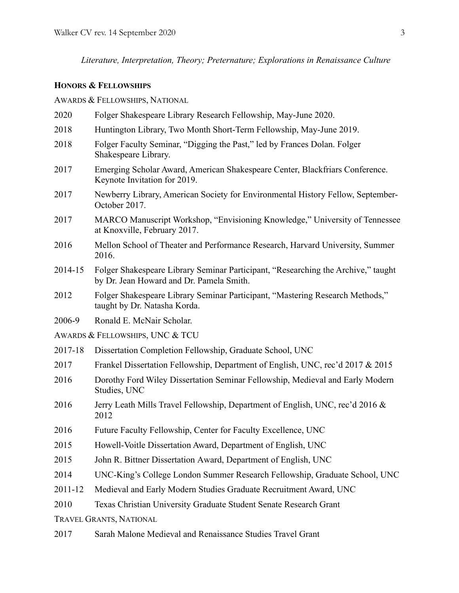*Literature, Interpretation, Theory; Preternature; Explorations in Renaissance Culture*

### **HONORS & FELLOWSHIPS**

AWARDS & FELLOWSHIPS, NATIONAL

- 2020 Folger Shakespeare Library Research Fellowship, May-June 2020.
- 2018 Huntington Library, Two Month Short-Term Fellowship, May-June 2019.
- 2018 Folger Faculty Seminar, "Digging the Past," led by Frances Dolan. Folger Shakespeare Library.
- 2017 Emerging Scholar Award, American Shakespeare Center, Blackfriars Conference. Keynote Invitation for 2019.
- 2017 Newberry Library, American Society for Environmental History Fellow, September-October 2017.
- 2017 MARCO Manuscript Workshop, "Envisioning Knowledge," University of Tennessee at Knoxville, February 2017.
- 2016 Mellon School of Theater and Performance Research, Harvard University, Summer 2016.
- 2014-15 Folger Shakespeare Library Seminar Participant, "Researching the Archive," taught by Dr. Jean Howard and Dr. Pamela Smith.
- 2012 Folger Shakespeare Library Seminar Participant, "Mastering Research Methods," taught by Dr. Natasha Korda.
- 2006-9 Ronald E. McNair Scholar.
- AWARDS & FELLOWSHIPS, UNC & TCU
- 2017-18 Dissertation Completion Fellowship, Graduate School, UNC
- 2017 Frankel Dissertation Fellowship, Department of English, UNC, rec'd 2017 & 2015
- 2016 Dorothy Ford Wiley Dissertation Seminar Fellowship, Medieval and Early Modern Studies, UNC
- 2016 Jerry Leath Mills Travel Fellowship, Department of English, UNC, rec'd 2016 & 2012
- 2016 Future Faculty Fellowship, Center for Faculty Excellence, UNC
- 2015 Howell-Voitle Dissertation Award, Department of English, UNC
- 2015 John R. Bittner Dissertation Award, Department of English, UNC
- 2014 UNC-King's College London Summer Research Fellowship, Graduate School, UNC
- 2011-12 Medieval and Early Modern Studies Graduate Recruitment Award, UNC
- 2010 Texas Christian University Graduate Student Senate Research Grant

TRAVEL GRANTS, NATIONAL

2017 Sarah Malone Medieval and Renaissance Studies Travel Grant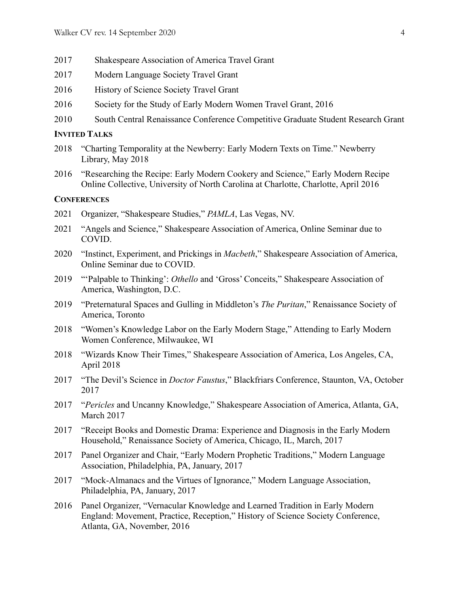- 2017 Shakespeare Association of America Travel Grant
- 2017 Modern Language Society Travel Grant
- 2016 History of Science Society Travel Grant
- 2016 Society for the Study of Early Modern Women Travel Grant, 2016
- 2010 South Central Renaissance Conference Competitive Graduate Student Research Grant

## **INVITED TALKS**

- 2018 "Charting Temporality at the Newberry: Early Modern Texts on Time." Newberry Library, May 2018
- 2016 "Researching the Recipe: Early Modern Cookery and Science," Early Modern Recipe Online Collective, University of North Carolina at Charlotte, Charlotte, April 2016

## **CONFERENCES**

- 2021 Organizer, "Shakespeare Studies," *PAMLA*, Las Vegas, NV.
- 2021 "Angels and Science," Shakespeare Association of America, Online Seminar due to COVID.
- 2020 "Instinct, Experiment, and Prickings in *Macbeth*," Shakespeare Association of America, Online Seminar due to COVID.
- 2019 "'Palpable to Thinking': *Othello* and 'Gross' Conceits," Shakespeare Association of America, Washington, D.C.
- 2019 "Preternatural Spaces and Gulling in Middleton's *The Puritan*," Renaissance Society of America, Toronto
- 2018 "Women's Knowledge Labor on the Early Modern Stage," Attending to Early Modern Women Conference, Milwaukee, WI
- 2018 "Wizards Know Their Times," Shakespeare Association of America, Los Angeles, CA, April 2018
- 2017 "The Devil's Science in *Doctor Faustus*," Blackfriars Conference, Staunton, VA, October 2017
- 2017 "*Pericles* and Uncanny Knowledge," Shakespeare Association of America, Atlanta, GA, March 2017
- 2017 "Receipt Books and Domestic Drama: Experience and Diagnosis in the Early Modern Household," Renaissance Society of America, Chicago, IL, March, 2017
- 2017 Panel Organizer and Chair, "Early Modern Prophetic Traditions," Modern Language Association, Philadelphia, PA, January, 2017
- 2017 "Mock-Almanacs and the Virtues of Ignorance," Modern Language Association, Philadelphia, PA, January, 2017
- 2016 Panel Organizer, "Vernacular Knowledge and Learned Tradition in Early Modern England: Movement, Practice, Reception," History of Science Society Conference, Atlanta, GA, November, 2016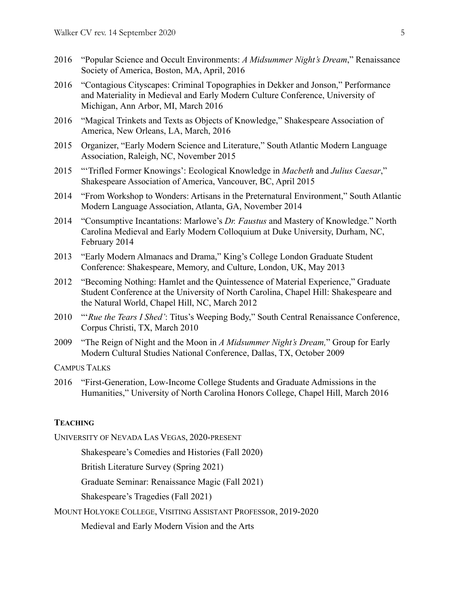- 2016 "Popular Science and Occult Environments: *A Midsummer Night's Dream*," Renaissance Society of America, Boston, MA, April, 2016
- 2016 "Contagious Cityscapes: Criminal Topographies in Dekker and Jonson," Performance and Materiality in Medieval and Early Modern Culture Conference, University of Michigan, Ann Arbor, MI, March 2016
- 2016 "Magical Trinkets and Texts as Objects of Knowledge," Shakespeare Association of America, New Orleans, LA, March, 2016
- 2015 Organizer, "Early Modern Science and Literature," South Atlantic Modern Language Association, Raleigh, NC, November 2015
- 2015 "'Trifled Former Knowings': Ecological Knowledge in *Macbeth* and *Julius Caesar*," Shakespeare Association of America, Vancouver, BC, April 2015
- 2014 "From Workshop to Wonders: Artisans in the Preternatural Environment," South Atlantic Modern Language Association, Atlanta, GA, November 2014
- 2014 "Consumptive Incantations: Marlowe's *Dr. Faustus* and Mastery of Knowledge." North Carolina Medieval and Early Modern Colloquium at Duke University, Durham, NC, February 2014
- 2013 "Early Modern Almanacs and Drama," King's College London Graduate Student Conference: Shakespeare, Memory, and Culture, London, UK, May 2013
- 2012 "Becoming Nothing: Hamlet and the Quintessence of Material Experience," Graduate Student Conference at the University of North Carolina, Chapel Hill: Shakespeare and the Natural World, Chapel Hill, NC, March 2012
- 2010 "'*Rue the Tears I Shed'*: Titus's Weeping Body," South Central Renaissance Conference, Corpus Christi, TX, March 2010
- 2009 "The Reign of Night and the Moon in *A Midsummer Night's Dream,*" Group for Early Modern Cultural Studies National Conference, Dallas, TX, October 2009

CAMPUS TALKS

2016 "First-Generation, Low-Income College Students and Graduate Admissions in the Humanities," University of North Carolina Honors College, Chapel Hill, March 2016

### **TEACHING**

UNIVERSITY OF NEVADA LAS VEGAS, 2020-PRESENT

Shakespeare's Comedies and Histories (Fall 2020)

British Literature Survey (Spring 2021)

Graduate Seminar: Renaissance Magic (Fall 2021)

Shakespeare's Tragedies (Fall 2021)

MOUNT HOLYOKE COLLEGE, VISITING ASSISTANT PROFESSOR, 2019-2020

Medieval and Early Modern Vision and the Arts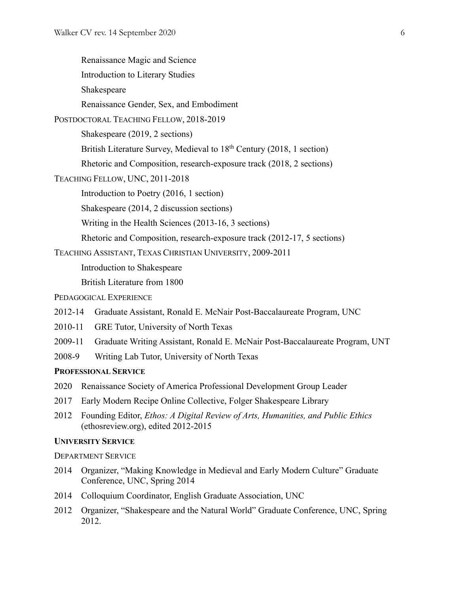| Renaissance Magic and Science                                                                                                  |
|--------------------------------------------------------------------------------------------------------------------------------|
| Introduction to Literary Studies                                                                                               |
| Shakespeare                                                                                                                    |
| Renaissance Gender, Sex, and Embodiment                                                                                        |
| POSTDOCTORAL TEACHING FELLOW, 2018-2019                                                                                        |
| Shakespeare (2019, 2 sections)                                                                                                 |
| British Literature Survey, Medieval to 18 <sup>th</sup> Century (2018, 1 section)                                              |
| Rhetoric and Composition, research-exposure track (2018, 2 sections)                                                           |
| TEACHING FELLOW, UNC, 2011-2018                                                                                                |
| Introduction to Poetry (2016, 1 section)                                                                                       |
| Shakespeare (2014, 2 discussion sections)                                                                                      |
| Writing in the Health Sciences (2013-16, 3 sections)                                                                           |
| Rhetoric and Composition, research-exposure track (2012-17, 5 sections)                                                        |
| TEACHING ASSISTANT, TEXAS CHRISTIAN UNIVERSITY, 2009-2011                                                                      |
| Introduction to Shakespeare                                                                                                    |
| British Literature from 1800                                                                                                   |
| PEDAGOGICAL EXPERIENCE                                                                                                         |
| 2012-14<br>Graduate Assistant, Ronald E. McNair Post-Baccalaureate Program, UNC                                                |
| 2010-11<br>GRE Tutor, University of North Texas                                                                                |
| 2009-11<br>Graduate Writing Assistant, Ronald E. McNair Post-Baccalaureate Program, UNT                                        |
| 2008-9<br>Writing Lab Tutor, University of North Texas                                                                         |
| <b>PROFESSIONAL SERVICE</b>                                                                                                    |
| 2020 Renaissance Society of America Professional Development Group Leader                                                      |
| Early Modern Recipe Online Collective, Folger Shakespeare Library<br>2017                                                      |
| 2012<br>Founding Editor, Ethos: A Digital Review of Arts, Humanities, and Public Ethics<br>(ethosreview.org), edited 2012-2015 |
| <b>UNIVERSITY SERVICE</b>                                                                                                      |

DEPARTMENT SERVICE

- 2014 Organizer, "Making Knowledge in Medieval and Early Modern Culture" Graduate Conference, UNC, Spring 2014
- 2014 Colloquium Coordinator, English Graduate Association, UNC
- 2012 Organizer, "Shakespeare and the Natural World" Graduate Conference, UNC, Spring 2012.